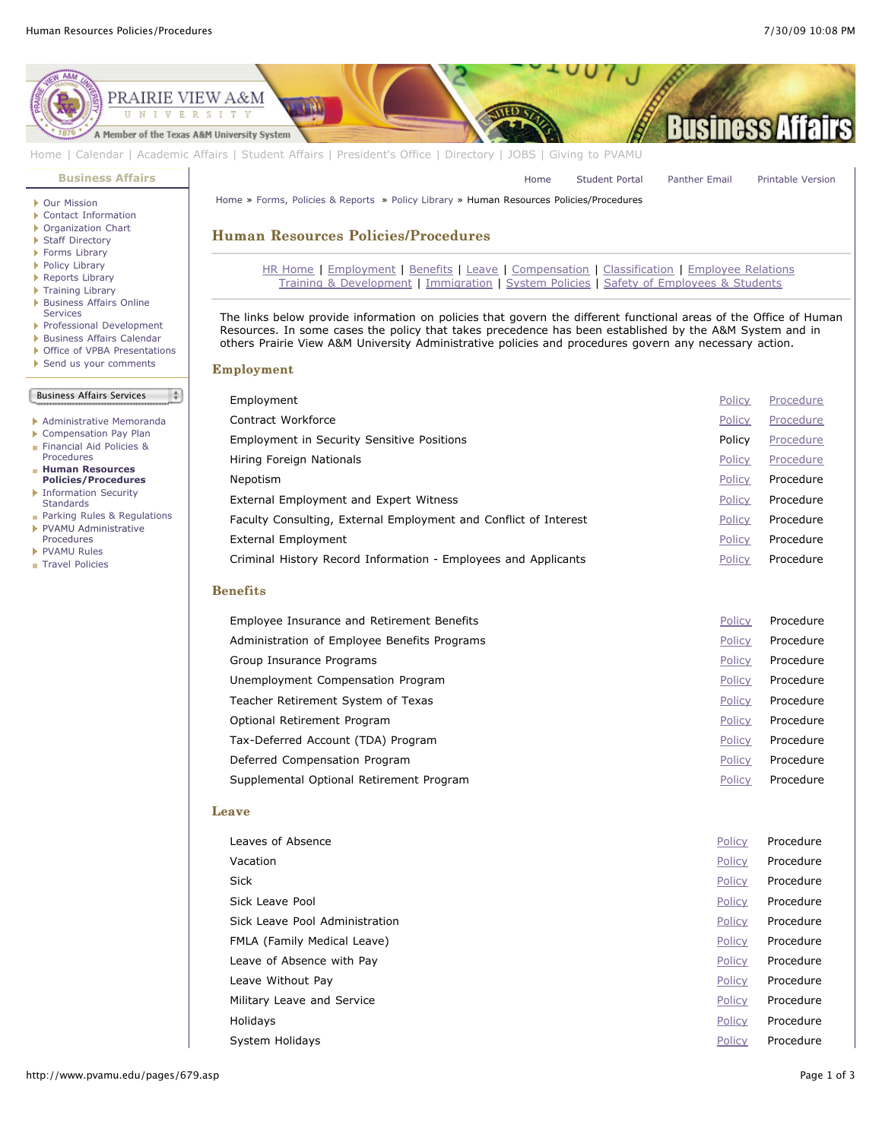[Home](http://www.pvamu.edu/pages/1.asp) [Student Portal](http://panthertracks.pvamu.edu/) [Panther Email](http://www.pvamu.edu/pages/1740.asp) [Printable Version](http://www.pvamu.edu/print/679.asp)



[Home](http://www.pvamu.edu/pages/1.asp) | [Calendar](http://www.pvamu.edu/pages/222.asp) | [Academic Affairs](http://www.pvamu.edu/pages/116.asp) | [Student Affairs](http://www.pvamu.edu/pages/1441.asp) | [President's Office](http://www.pvamu.edu/pages/117.asp) | [Directory](http://www.pvamu.edu/pages/225.asp) | [JOBS](http://www.pvamu.edu/pages/118.asp) | [Giving to PVAMU](http://www.pvamu.edu/giving)

**[Business Affairs](http://www.pvamu.edu/pages/102.asp)**

- ▶ [Our Mission](http://www.pvamu.edu/pages/3012.asp)
- [Contact Information](http://www.pvamu.edu/pages/527.asp)
- [Organization Chart](http://www.pvamu.edu/pages/528.asp)
- ▶ [Staff Directory](http://www.pvamu.edu/pages/529.asp)
- ▶ [Forms Library](http://www.pvamu.edu/pages/531.asp)
- [Policy Library](http://www.pvamu.edu/pages/532.asp)
- ▶ [Reports Library](http://www.pvamu.edu/pages/533.asp)
- ▶ [Training Library](http://www.pvamu.edu/pages/4512.asp)
- [Business Affairs Online](http://www.pvamu.edu/pages/5583.asp) Services
- [Professional Development](http://www.pvamu.edu/pages/4966.asp)
- **[Business Affairs Calendar](http://www.pvamu.edu/pages/534.asp)**
- ▶ [Office of VPBA Presentations](http://www.pvamu.edu/pages/2940.asp)
- [Send us your comments](http://www.pvamu.edu/pages/535.asp)
- 

## Business Affairs Services

 $\frac{1}{2}$ 

- [Administrative Memoranda](http://www.pvamu.edu/pages/1230.asp)
- [Compensation Pay Plan](http://www.pvamu.edu/pages/2078.asp)
- [Financial Aid Policies &](http://www.pvamu.edu/pages/2636.asp)
- Procedures **Human Resources**
- **[Policies/Procedures](http://www.pvamu.edu/pages/679.asp)**
- **[Information Security](http://www.pvamu.edu/pages/2492.asp) Standards**
- **[Parking Rules & Regulations](http://www.pvamu.edu/pages/1233.asp) [PVAMU Administrative](http://www.pvamu.edu/pages/1234.asp)** Procedures
- ▶ [PVAMU Rules](http://www.pvamu.edu/pages/1412.asp)
- [Travel Policies](http://www.pvamu.edu/pages/1414.asp)

[Home](http://www.pvamu.edu/pages/1.asp) » [Forms, Policies & Reports](http://www.pvamu.edu/pages/5302.asp) » [Policy Library](http://www.pvamu.edu/pages/532.asp) » Human Resources Policies/Procedures

## Human Resources Policies/Procedures

[HR Home](http://www.pvamu.edu/pages/555.asp) | [Employment](http://www.pvamu.edu/pages/679.asp#Employment) | [Benefits](http://www.pvamu.edu/pages/679.asp#Benefits) | [Leave](http://www.pvamu.edu/pages/679.asp#Leave) | [Compensation](http://www.pvamu.edu/pages/679.asp#Compensation) | [Classification](http://www.pvamu.edu/pages/679.asp#Classification) | [Employee Relations](http://www.pvamu.edu/pages/679.asp#Emp%20Relations) [Training & Development](http://www.pvamu.edu/pages/679.asp#Training) | [Immigration](http://www.pvamu.edu/pages/679.asp#Immigration) | [System Policies](http://tamus.edu/offices/policy/policies/index.html) | [Safety of Employees & Students](http://www.pvamu.edu/pages/679.asp#Safety)

The links below provide information on policies that govern the different functional areas of the Office of Human Resources. In some cases the policy that takes precedence has been established by the A&M System and in others Prairie View A&M University Administrative policies and procedures govern any necessary action.

## Employment Employment

| Employment                                                       | Policy | Procedure |
|------------------------------------------------------------------|--------|-----------|
| Contract Workforce                                               | Policy | Procedure |
| <b>Employment in Security Sensitive Positions</b>                | Policy | Procedure |
| Hiring Foreign Nationals                                         | Policy | Procedure |
| Nepotism                                                         | Policy | Procedure |
| External Employment and Expert Witness                           | Policy | Procedure |
| Faculty Consulting, External Employment and Conflict of Interest | Policy | Procedure |
| <b>External Employment</b>                                       | Policy | Procedure |
| Criminal History Record Information - Employees and Applicants   | Policy | Procedure |
| <b>Benefits</b>                                                  |        |           |
| Employee Insurance and Retirement Benefits                       | Policy | Procedure |
| Administration of Employee Benefits Programs                     | Policy | Procedure |
| Group Insurance Programs                                         | Policy | Procedure |
| Unemployment Compensation Program                                | Policy | Procedure |
| Teacher Retirement System of Texas                               | Policy | Procedure |
| Optional Retirement Program                                      | Policy | Procedure |
| Tax-Deferred Account (TDA) Program                               | Policy | Procedure |
| Deferred Compensation Program                                    | Policy | Procedure |
| Supplemental Optional Retirement Program                         | Policy | Procedure |
|                                                                  |        |           |

## Leave

| Leaves of Absence              | Policy | Procedure |
|--------------------------------|--------|-----------|
| Vacation                       | Policy | Procedure |
| Sick                           | Policy | Procedure |
| Sick Leave Pool                | Policy | Procedure |
| Sick Leave Pool Administration | Policy | Procedure |
| FMLA (Family Medical Leave)    | Policy | Procedure |
| Leave of Absence with Pay      | Policy | Procedure |
| Leave Without Pay              | Policy | Procedure |
| Military Leave and Service     | Policy | Procedure |
| Holidays                       | Policy | Procedure |
| System Holidays                | Policy | Procedure |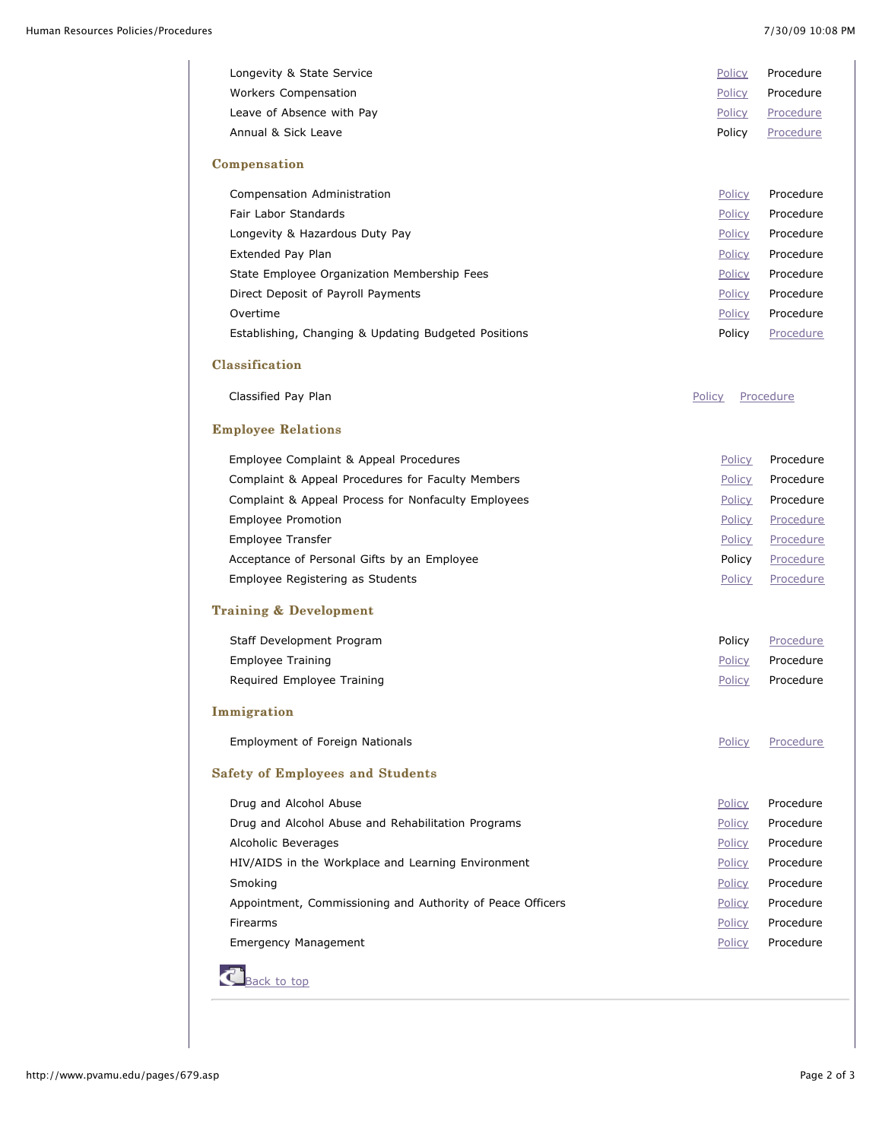| Longevity & State Service                                  | Policy        | Procedure |  |
|------------------------------------------------------------|---------------|-----------|--|
| <b>Workers Compensation</b>                                | Policy        | Procedure |  |
| Leave of Absence with Pay                                  | Policy        | Procedure |  |
| Annual & Sick Leave                                        | Policy        | Procedure |  |
| Compensation                                               |               |           |  |
| Compensation Administration                                | Policy        | Procedure |  |
| Fair Labor Standards                                       | Policy        | Procedure |  |
| Longevity & Hazardous Duty Pay                             | Policy        | Procedure |  |
| Extended Pay Plan                                          | Policy        | Procedure |  |
| State Employee Organization Membership Fees                | Policy        | Procedure |  |
| Direct Deposit of Payroll Payments                         | Policy        | Procedure |  |
| Overtime                                                   | Policy        | Procedure |  |
| Establishing, Changing & Updating Budgeted Positions       | Policy        | Procedure |  |
| Classification                                             |               |           |  |
| Classified Pay Plan                                        | Policy        | Procedure |  |
| <b>Employee Relations</b>                                  |               |           |  |
| Employee Complaint & Appeal Procedures                     | <b>Policy</b> | Procedure |  |
| Complaint & Appeal Procedures for Faculty Members          | Policy        | Procedure |  |
| Complaint & Appeal Process for Nonfaculty Employees        | Policy        | Procedure |  |
| Employee Promotion                                         | <b>Policy</b> | Procedure |  |
| Employee Transfer                                          | <b>Policy</b> | Procedure |  |
| Acceptance of Personal Gifts by an Employee                | Policy        | Procedure |  |
| Employee Registering as Students                           | Policy        | Procedure |  |
| <b>Training &amp; Development</b>                          |               |           |  |
| Staff Development Program                                  | Policy        | Procedure |  |
| <b>Employee Training</b>                                   | Policy        | Procedure |  |
| Required Employee Training                                 | Policy        | Procedure |  |
| Immigration                                                |               |           |  |
| Employment of Foreign Nationals                            | <b>Policy</b> | Procedure |  |
| <b>Safety of Employees and Students</b>                    |               |           |  |
| Drug and Alcohol Abuse                                     | <b>Policy</b> | Procedure |  |
| Drug and Alcohol Abuse and Rehabilitation Programs         | Policy        | Procedure |  |
| Alcoholic Beverages                                        | Policy        | Procedure |  |
| HIV/AIDS in the Workplace and Learning Environment         | <b>Policy</b> | Procedure |  |
| Smoking                                                    | Policy        | Procedure |  |
| Appointment, Commissioning and Authority of Peace Officers | <b>Policy</b> | Procedure |  |
| <b>Firearms</b>                                            | <b>Policy</b> | Procedure |  |
| <b>Emergency Management</b>                                | Policy        | Procedure |  |

**C**[Back to top](http://www.pvamu.edu/pages/679.asp#Top)